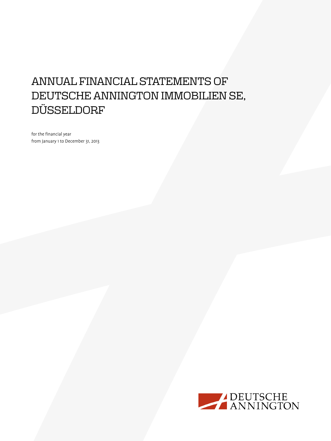# Annual Financial Statements of deutsche annington immobilien se, **DÜSSELDORF**

for the financial year from January 1 to December 31, 2013

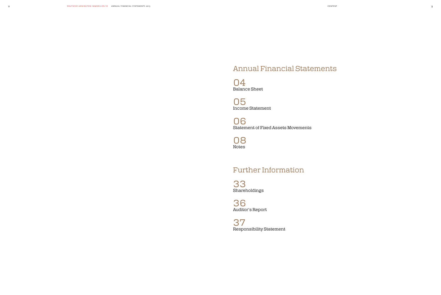

06 Statement of Fixed Assets Movements

O8<br>Notes

33 Shareholdings

36 Auditor's Report

37 Responsibility Statement

# Annual Financial Statements

04<br>Balance Sheet

05<br>Income Statement

## Further Information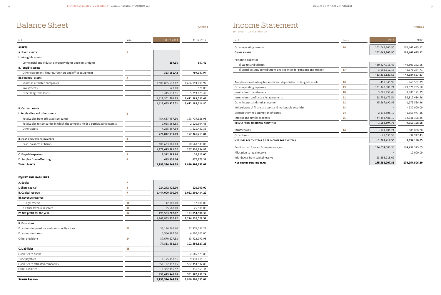## Balance Sheet Income Statement Annex 1 Annex 2

*January 1 to December 31* 

| in $\epsilon$                                                                | Notes          | 31.12.2013       | 31.12.2012       |
|------------------------------------------------------------------------------|----------------|------------------|------------------|
| <b>ASSETS</b>                                                                |                |                  |                  |
| A. FIXED ASSETS                                                              | 1              |                  |                  |
| I. Intangible assets                                                         |                |                  |                  |
| Commercial and industrial property rights and similar rights                 |                | 159.36           | 637.42           |
| II. Tangible assets                                                          |                |                  |                  |
| Other equipment, fixtures, furniture and office equipment                    |                | 353,566.42       | 799,047.97       |
| III. Financial assets                                                        | $\overline{2}$ |                  |                  |
| Shares in affiliated companies                                               |                | 1,608,885,547.82 | 1,606,094,881.92 |
| Investments                                                                  |                | 520.00           | 520.00           |
| Other long-term loans                                                        |                | 3,415,633.91     | 5,293,129.49     |
|                                                                              |                | 1,612,301,701.73 | 1,611,388,531.41 |
|                                                                              |                | 1,612,655,427.51 | 1,612,188,216.80 |
| <b>B.</b> Current assets                                                     |                |                  |                  |
| I. Receivables and other assets                                              | 3              |                  |                  |
| Receivables from affiliated companies                                        |                | 764,687,957.30   | 193,719,326.98   |
| Receivables to companies in which the company holds a participating interest |                | 2,058,264.65     | 2,120,904.48     |
| Other assets                                                                 |                | 4,265,897.94     | 1,521,482.35     |
|                                                                              |                | 771,012,119.89   | 197, 361, 713.81 |
| II. Cash and cash equivalents                                                | 4              |                  |                  |
| Cash, balances at banks                                                      |                | 408,633,861.63   | 70,568,541.08    |
|                                                                              |                | 1,179,645,981.52 | 267,930,254.89   |
| C. Prepaid expenses                                                          | 5              | 2,342,983.86     | 10,710.00        |
| D. Surplus from offsetting                                                   | 6              | 679,855.14       | 677,773.32       |
| <b>TOTAL ASSETS</b>                                                          |                | 2,795,324,248.03 | 1,880,806,955.01 |

### Equity and Liabilities

| A. Equity                                       | 7  |                  |                  |
|-------------------------------------------------|----|------------------|------------------|
| I. Share capital                                | 8  | 224,242,425.00   | 120,000.00       |
| II. Capital reserve                             | 9  | 1,444,000,000.00 | 1,052,308,434.22 |
| III. Revenue reserves                           |    |                  |                  |
| 1. Legal reserve                                | 10 | 12,000.00        | 12,000.00        |
| 2. Other revenue reserves                       | 11 | 25,588.00        | 25,588.00        |
| IV. Net profit for the year                     | 12 | 195,583,207.82   | 174,054,506.30   |
|                                                 |    | 1,863,863,220.82 | 1,226,520,528.52 |
| <b>B. Provisions</b>                            |    |                  |                  |
| Provisions for pensions and similar obligations | 13 | 33,186,166.60    | 32,376,336.27    |
| Provisions for taxes                            |    | 6,954,887.00     | 6,600,000.00     |
| Other provisions                                | 14 | 37,670,527.53    | 63,922,190.98    |
|                                                 |    | 77,811,581.13    | 102,898,527.25   |
| C. Liabilities                                  | 15 |                  |                  |
| Liabilities to banks                            |    |                  | 2,685,573.85     |
| Trade payables                                  |    | 1,195,148.41     | 9,930,814.15     |
| Liabilities to affiliated companies             |    | 851,122,142.15   | 537,454,547.80   |
| Other liabilities                               |    | 1,332,155.52     | 1,316,963.44     |
|                                                 |    | 853,649,446.08   | 551,387,899.24   |
| <b>SUMME PASSIVA</b>                            |    | 2,795,324,248.03 | 1,880,806,955.01 |

| in $\epsilon$                                                          | Notes | 2013              | 2012             |
|------------------------------------------------------------------------|-------|-------------------|------------------|
| Other operating income                                                 | 16    | 102,069,740.90    | 136,642,485,12   |
| <b>GROSS PROFIT</b>                                                    |       | 102,069,740.90    | 136,642,485.12   |
| Personnel expenses                                                     |       |                   |                  |
| a) Wages and salaries                                                  |       | $-30,227,715.49$  | $-40,809,292.66$ |
| b) Social security contributions and expenses for pensions and support | 17    | $-3,002,912.16$   | $-3,575,264.71$  |
|                                                                        |       | $-33,230,627.65$  | $-44,384,557.37$ |
| Amortisation of intangible assets and depreciation of tangible assets  | 18    | $-498,345.99$     | $-863,502.39$    |
| Other operating expenses                                               | 19    | $-101,340,589.74$ | $-89,076,205.58$ |
| Income from investments                                                | 20    | 3,786,859.48      | 3,980,122.39     |
| Income from profit transfer agreements                                 | 21    | 28,703,671.54     | 36,812,484.96    |
| Other interest and similar income                                      | 22    | 45,567,690.95     | 1,175,556.46     |
| Write-downs of financial assets and marketable securities              | 23    |                   | $-130,000.00$    |
| Expenses for the assumption of losses                                  | 24    | $-2,133,806.12$   | $-1,655,947.16$  |
| Interest and similar expenses                                          | 25    | $-44,493,488.10$  | $-32,531,308.35$ |
| <b>RESULT FROM ORDINARY ACTIVITIES</b>                                 |       | $-1,568,894.73$   | 9,969,128.08     |
| Income taxes                                                           | 26    | $-171,886.24$     | $-300,000.00$    |
| Other taxes                                                            |       | $-28,635.53$      | $-34,947.43$     |
| NET LOSS FOR THE YEAR / NET INCOME FOR THE YEAR                        |       | $-1,769,416.50$   | 9,634,180.65     |
| Profit carried forward from previous year                              |       | 174,054,506.30    | 164,432,325.65   |
| Allocation to legal reserve                                            |       |                   | 12,000.00        |
| Withdrawal from capital reserve                                        |       | 23,298,118.02     |                  |
|                                                                        |       |                   |                  |

| in $\epsilon$                                                          | Notes | 2013              | 2012             |
|------------------------------------------------------------------------|-------|-------------------|------------------|
| Other operating income                                                 | 16    | 102,069,740.90    | 136,642,485,12   |
| <b>GROSS PROFIT</b>                                                    |       | 102,069,740.90    | 136,642,485.12   |
| Personnel expenses                                                     |       |                   |                  |
| a) Wages and salaries                                                  |       | $-30,227,715.49$  | $-40,809,292.66$ |
| b) Social security contributions and expenses for pensions and support | 17    | $-3,002,912.16$   | $-3,575,264.71$  |
|                                                                        |       | $-33,230,627.65$  | $-44,384,557.37$ |
| Amortisation of intangible assets and depreciation of tangible assets  | 18    | $-498,345.99$     | $-863,502.39$    |
| Other operating expenses                                               | 19    | $-101,340,589.74$ | $-89,076,205.58$ |
| Income from investments                                                | 20    | 3,786,859.48      | 3,980,122.39     |
| Income from profit transfer agreements                                 | 21    | 28,703,671.54     | 36,812,484.96    |
| Other interest and similar income                                      | 22    | 45,567,690.95     | 1,175,556.46     |
| Write-downs of financial assets and marketable securities              | 23    |                   | $-130,000.00$    |
| Expenses for the assumption of losses                                  | 24    | $-2,133,806.12$   | $-1,655,947.16$  |
| Interest and similar expenses                                          | 25    | $-44,493,488.10$  | $-32,531,308.35$ |
| <b>RESULT FROM ORDINARY ACTIVITIES</b>                                 |       | $-1,568,894.73$   | 9,969,128.08     |
| Income taxes                                                           | 26    | $-171,886.24$     | $-300,000.00$    |
| Other taxes                                                            |       | $-28,635.53$      | $-34,947.43$     |
| NET LOSS FOR THE YEAR / NET INCOME FOR THE YEAR                        |       | $-1,769,416.50$   | 9,634,180.65     |
| Profit carried forward from previous year                              |       | 174,054,506.30    | 164,432,325.65   |
| Allocation to legal reserve                                            |       |                   | 12,000.00        |
| Withdrawal from capital reserve                                        |       | 23,298,118.02     |                  |
| <b>NET PROFIT FOR THE YEAR</b>                                         |       | 195,583,207.82    | 174,054,506.30   |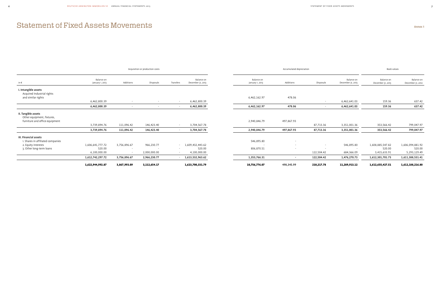|                                                   |                               |              | Acquisition or production costs |                          |                                 |                               | Accumulated depreciation |            |                                 | Book values                     |                                 |
|---------------------------------------------------|-------------------------------|--------------|---------------------------------|--------------------------|---------------------------------|-------------------------------|--------------------------|------------|---------------------------------|---------------------------------|---------------------------------|
| in€                                               | Balance on<br>January 1, 2013 | Additions    | Disposals                       | Transfers                | Balance on<br>December 31, 2013 | Balance on<br>January 1, 2013 | Additions                | Disposals  | Balance on<br>December 31, 2013 | Balance on<br>December 31, 2013 | Balance on<br>December 31, 2012 |
| I. Intangible assets                              |                               |              |                                 |                          |                                 |                               |                          |            |                                 |                                 |                                 |
| Acquired Industrial rights                        |                               |              |                                 |                          |                                 |                               |                          |            |                                 |                                 |                                 |
| and similar rights                                |                               |              |                                 |                          |                                 | 6,462,162.97                  | 478.06                   |            |                                 |                                 |                                 |
|                                                   | 6,462,800.39                  | $\sim$       |                                 | $\sim$                   | 6,462,800.39                    |                               |                          |            | 6,462,641.03                    | 159.36                          | 637.42                          |
|                                                   | 6,462,800.39                  | $\sim$       |                                 |                          | 6,462,800.39                    | 6,462,162.97                  | 478.06                   | $\sim$     | 6,462,641.03                    | 159.36                          | 637.42                          |
| II. Tangible assets<br>Other equipment, fixtures, |                               |              |                                 |                          |                                 |                               |                          |            |                                 |                                 |                                 |
| furniture and office equipment                    |                               |              |                                 |                          |                                 | 2,940,846.79                  | 497,867.93               |            |                                 |                                 |                                 |
|                                                   | 3,739,894.76                  | 111,096.42   | 146,423.40                      | $\sim$                   | 3,704,567.78                    |                               |                          | 87,713.36  | 3,351,001.36                    | 353,566.42                      | 799,047.97                      |
|                                                   | 3,739,894.76                  | 111,096.42   | 146,423.40                      | $\sim$                   | 3,704,567.78                    | 2,940,846.79                  | 497,867.93               | 87,713.36  | 3,351,001.36                    | 353,566.42                      | 799,047.97                      |
| III. Financial assets                             |                               |              |                                 |                          |                                 |                               |                          |            |                                 |                                 |                                 |
| 1. Shares in affiliated companies                 |                               |              |                                 |                          |                                 | 546,895.80                    | $\sim$                   |            |                                 |                                 |                                 |
| 2. Equity interests                               | 1,606,641,777.72              | 3,756,896.67 | 966,230.77                      |                          | $-1,609,432,443.62$             |                               | $\sim$                   | $\sim$     | 546,895.80                      | 1,608,885,547.82                | 1,606,094,881.92                |
| 3. Other long-term loans                          | 520.00                        | $\sim$       |                                 | $\overline{\phantom{a}}$ | 520.00                          | 806,870.51                    | $\overline{\phantom{a}}$ |            | $\sim$                          | 520.00                          | 520.00                          |
|                                                   | 6,100,000.00                  | $\sim$       | 2,000,000.00                    |                          | 4,100,000.00                    |                               |                          | 122,504.42 | 684,366.09                      | 3,415,633.91                    | 5,293,129.49                    |
|                                                   | 1,612,742,297.72              | 3,756,896.67 | 2,966,230.77                    |                          | 1,613,532,963.62                | 1,353,766.31                  | $\sim$                   | 122,504.42 | 1,476,270.73                    | 1,612,301,701.73                | 1,611,388,531.41                |
|                                                   | 1,622,944,992.87              | 3,867,993.09 | 3,112,654.17                    |                          | 1,623,700,331.79                | 10,756,776.07                 | 498,345.99               | 210,217.78 | 11,289,913.12                   | 1,612,655,427.51                | 1,612,188,216.80                |

# Statement of Fixed Assets Movements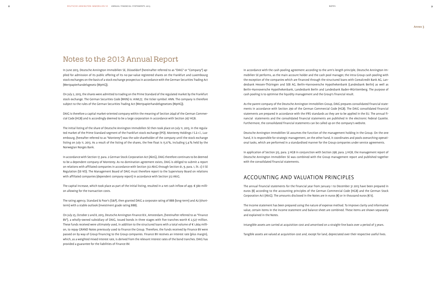## Notes to the 2013 Annual Report

In June 2013, Deutsche Annington Immobilien SE, Düsseldorf (hereinafter referred to as "DAIG" or "Company") applied for admission of its public offering of its no-par-value registered shares on the Frankfurt and Luxembourg stock exchanges on the basis of a stock exchange prospectus in accordance with the German Securities Trading Act (Wertpapierhandelsgesetz (WpHG)).

On July 2, 2013, the shares were admitted to trading on the Prime Standard of the regulated market by the Frankfurt stock exchange. The German Securities Code (WKN) is: A1ML7J; the ticker symbol: ANN. The company is therefore subject to the rules of the German Securities Trading Act (Wertpapierhandelsgesetzes (WpHG)).

DAIG is therefore a capital market-oriented company within the meaning of Section 264d of the German Commercial Code (HGB) and is accordingly deemed to be a large corporation in accordance with Section 267 HGB.

The initial listing of the share of Deutsche Annington Immobilien SE then took place on July 11, 2013, in the regulated market of the Prime Standard segment of the Frankfurt stock exchange (IPO). Monterey Holdings I S.à r.l., Luxembourg, (hereafter referred to as "Monterey") was the sole shareholder of the company until the stock exchange listing on July 11, 2013. As a result of the listing of the shares, the free float is 15.6%, including 5.4% held by the Norwegian Norges Bank.

In accordance with Section 17, para. 2 German Stock Corporation Act (AktG), DAIG therefore continues to be deemed to be a dependent company of Monterey. As no domination agreement exists, DAIG is obliged to submit a report on relations with affiliated companies in accordance with Section 312 AktG through Section 61, 9, para. 1, lit. c) ii SE Regulation (SE-VO). The Management Board of DAIG must therefore report to the Supervisory Board on relations with affiliated companies (dependent company report) in accordance with Section 312 AktG.

The capital increase, which took place as part of the initial listing, resulted in a net cash inflow of app. € 380 million allowing for the transaction costs.

The rating agency, Standard & Poor's (S&P), then granted DAIG a corporate rating of BBB (long-term) and A2 (shortterm) with a stable outlook (investment grade rating BBB).

The annual financial statements for the financial year from January 1 to December 31 2013 have been prepared in euros (€) according to the accounting principles of the German Commercial Code (HGB) and the German Stock Corporation Act (AktG). The amounts disclosed in the Notes are in euros ( $\epsilon$ ) or in thousand euros ( $\epsilon$  k).

On July 25, October 2 and 8, 2013, Deutsche Annington Finance B.V., Amsterdam, (hereinafter referred to as "Finance BV"), a wholly-owned subsidiary of DAIG, issued bonds in three stages with five tranches worth € 2,527 million. These funds received were ultimately used, in addition to the structured loans with a total volume of  $\epsilon$  1,664 million, to repay GRAND Notes previously used to finance the Group. Therefore, the funds received by Finance BV were passed on by way of Group financing to the Group companies. Finance BV receives an interest rate (plus margin), which, as a weighted mixed interest rate, is derived from the relevant interest rates of the bond tranches. DAIG has provided a guarantee for the liabilities of Finance BV.

In accordance with the cash pooling agreement according to the arm's length principle, Deutsche Annington Immobilien SE performs, as the main account holder and the cash pool manager, the intra-Group cash pooling with the exception of the companies which are financed through the structured loans with Corealcredit Bank AG, Landesbank Hessen-Thüringen and SEB AG, Berlin-Hannoversche Hypothekenbank (Landesbank Berlin) as well as Berlin-Hannoversche Hypothekenbank, Landesbank Berlin and Landesbank Baden-Württemberg. The purpose of cash pooling is to optimise the liquidity management and the Group's financial result.

As the parent company of the Deutsche Annington Immobilien Group, DAIG prepares consolidated financial statements in accordance with Section 290 of the German Commercial Code (HGB). The DAIG consolidated financial statements are prepared in accordance with the IFRS standards as they are to be applied in the EU. The annual financial statements and the consolidated financial statements are published in the electronic Federal Gazette. Furthermore, the consolidated financial statements can be called up on the company's website.

Deutsche Annington Immobilien SE assumes the function of the management holding in the Group. On the one hand, it is responsible for strategic management, on the other hand, it coordinates and pools overarching operational tasks, which are performed in a standardised manner for the Group companies under service agreements.

In application of Section 315, para. 3 HGB in conjunction with Section 298, para. 3 HGB, the management report of Deutsche Annington Immobilien SE was combined with the Group management report and published together with the consolidated financial statements.

## Accounting and valuation principles

The income statement has been prepared using the nature of expense method. To improve clarity and informative value, certain items in the income statement and balance sheet are combined. These items are shown separately and explained in the Notes.

Intangible assets are carried at acquisition cost and amortised on a straight-line basis over a period of 3 years.

Tangible assets are valued at acquisition cost and, except for land, depreciated over their respective useful lives.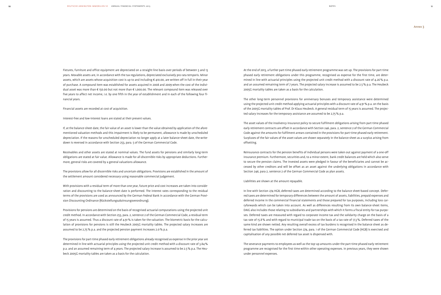Fixtures, furniture and office equipment are depreciated on a straight-line basis over periods of between 3 and 13 years. Movable assets are, in accordance with the tax regulations, depreciated exclusively pro rata temporis. Minor assets, which are assets whose acquisition cost is up to and including € 410.00, are written off in full in their year of purchase. A compound item was established for assets acquired in 2008 and 2009 when the cost of the individual asset was more than € 150.00 but not more than € 1,000.00. The relevant compound item was released over five years to affect net income, i.e. by one fifth in the year of establishment and in each of the following four financial years.

Financial assets are recorded at cost of acquisition.

Interest-free and low-interest loans are stated at their present values.

If, at the balance-sheet date, the fair value of an asset is lower than the value obtained by application of the aforementioned valuation methods and this impairment is likely to be permanent, allowance is made by unscheduled depreciation. If the reasons for unscheduled depreciation no longer apply at a later balance-sheet date, the writedown is reversed in accordance with Section 253, para. 5 of the German Commercial Code.

Receivables and other assets are stated at nominal values. The fund assets for pensions and similarly long-term obligations are stated at fair value. Allowance is made for all discernible risks by appropriate deductions. Furthermore, general risks are covered by a general valuations allowance.

The provisions allow for all discernible risks and uncertain obligations. Provisions are established in the amount of the settlement amount considered necessary using reasonable commercial judgement.

With provisions with a residual term of more than one year, future price and cost increases are taken into consideration and discounting to the balance-sheet date is performed. The interest rates corresponding to the residual terms of the provisions are used as announced by the German Federal Bank in accordance with the German Provision Discounting Ordinance (Rückstellungsabzinsungsverordnung).

Provisions for pensions are determined on the basis of recognised actuarial computations using the projected unit credit method. In accordance with Section 253, para. 2, sentence 2 of the German Commercial Code, a residual term of 15 years is assumed. Thus a discount rate of 4.91% is taken for the valuation. The biometric basis for the calculation of provisions for pensions is still the Heubeck 2005G mortality tables. The projected salary increases are assumed to be 2.75% p.a. and the projected pension payment increases 2.0% p.a.

The provisions for part-time phased early retirement obligations already recognised as expense in the prior year are determined in line with actuarial principles using the projected unit credit method with a discount rate of 3.84% p.a. and an assumed remaining term of 4 years. The projected salary increase is assumed to be 2.5% p.a. The Heubeck 2005G mortality tables are taken as a basis for the calculation.

At the end of 2013, a further part-time phased early retirement programme was set up. The provisions for part-time phased early retirement obligations under this programme, recognised as expense for the first time, are determined in line with actuarial principles using the projected unit credit method with a discount rate of 4.26% p.a. and an assumed remaining term of 7 years. The projected salary increase is assumed to be 2.5% p.a. The Heubeck 2005G mortality tables are taken as a basis for the calculation.

The other long-term personnel provisions for anniversary bonuses and temporary assistance were determined using the projected unit credit method applying actuarial principles with a discount rate of 4.91% p.a. on the basis of the 2005G mortality tables of Prof. Dr Klaus Heubeck. A general residual term of 15 years is assumed. The projected salary increases for the temporary assistance are assumed to be 2.75% p.a.

The asset values of the insolvency insurance policy to secure fulfilment obligations arising from part-time phased early retirement contracts are offset in accordance with Section 246, para. 2, sentence 2 of the German Commercial Code against the amounts for fulfilment arrears contained in the provisions for part-time phased early retirement. Surpluses of the fair values of the asset values are shown separately in the balance sheet as a surplus arising from offsetting.

Reinsurance contracts for the pension benefits of individual persons were taken out against payment of a one-off insurance premium. Furthermore, securities and, to a minor extent, bank credit balances are held which also serve to secure the pension claims. The invested assets were pledged in favour of the beneficiaries and cannot be accessed by other creditors and will be offset as an asset against the underlying obligations in accordance with Section 246, para 2, sentence 2 of the German Commercial Code as plan assets.

Liabilities are shown at the amount repayable.

In line with Section 274 HGB, deferred taxes are determined according to the balance sheet-based concept. Deferred taxes are determined for temporary differences between the amount of assets, liabilities, prepaid expenses and deferred income in the commercial financial statements and those prepared for tax purposes, including loss carryforwards which can be taken into account. As well as differences resulting from its own balance-sheet items, DAIG also includes those relating to subsidiaries and partnerships with which it forms a fiscal entity for tax purposes. Deferred taxes are measured with regard to corporate income tax and the solidarity charge on the basis of a tax rate of 15.8% and with regard to municipal trade tax on the basis of a tax rate of 17.3%. Deferred taxes of the same kind are shown netted. Any resulting overall excess of tax burdens is recognised in the balance sheet as deferred tax liabilities. The option under Section 274, para. 1 of the German Commercial Code (HGB) is exercised and capitalisation of any possible net deferred tax asset is dispensed with.

The severance payments to employees as well as the top-up amounts under the part-time phased early retirement programme are recognised for the first time within other operating expenses. In previous years, they were shown under personnel expenses.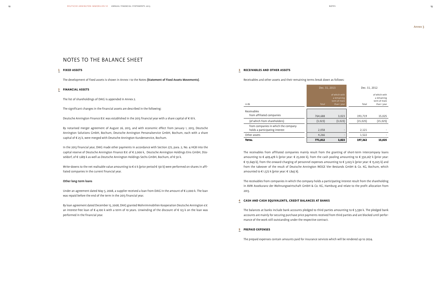## notes to the balance sheet

### 1 **Fixed assets**

The development of fixed assets is shown in Annex 1 to the Notes (Statement of Fixed Assets Movements).

### 2 **financial assets**

The list of shareholdings of DAIG is appended in Annex 2.

The significant changes in the financial assets are described in the following:

In the 2013 financial year, DAIG made other payments in accordance with Section 272, para. 2, No. 4 HGB into the capital reserve of Deutsche Annington Finance B.V. of € 2,000 k, Deutsche Annington Holdings Eins GmbH, Düsseldorf, of € 1,689 k as well as Deutsche Annington Holdings Sechs GmbH, Bochum, of € 50 k.

Deutsche Annington Finance B.V. was established in the 2013 financial year with a share capital of € 18 k.

Write-downs to the net realisable value amounting to  $\epsilon$  0 k (prior period  $\epsilon$  130 k) were performed on shares in affiliated companies in the current financial year.

By notarised merger agreement of August 26, 2013, and with economic effect from January 1, 2013, Deutsche Annington Solutions GmbH, Bochum, Deutsche Annington Personalservice GmbH, Bochum, each with a share capital of € 25 k, were merged with Deutsche Annington Kundenservice, Bochum.

> The receivables from affiliated companies mainly result from the granting of short-term intercompany loans amounting to € 409,478 k (prior year: € 25,000 k), from the cash pooling amounting to € 350,267 k (prior year: € 151,849 k), from the onward-charging of personnel expenses amounting to € 3,023 k (prior year: € 15,025 k) and from the takeover of the result of Deutsche Annington WOGE Vier Bestands GmbH & Co. KG, Bochum, which amounted to  $\in$  1,572 k (prior year:  $\in$  1,845 k).

### Other long-term loans

Under an agreement dated May 5, 2008, a supplier received a loan from DAIG in the amount of € 2,000 k. The loan was repaid before the end of the term in the 2013 financial year.

By loan agreement dated December 15, 2008, DAIG granted Wohnimmobilien Kooperation Deutsche Annington e.V. an interest-free loan of  $\epsilon$  4,100 k with a term of 10 years. Unwinding of the discount of  $\epsilon$  123 k on the loan was performed in the financial year.

### 3 **Receivables and other assets**

Receivables and other assets and their remaining terms break down as follows:

The receivables from companies in which the company holds a participating interest result from the shareholding in AVW Assekuranz der Wohnungswirtschaft GmbH & Co. KG, Hamburg and relate to the profit allocation from 2013.

### 4 **Cash and cash equivalents, credit balances at banks**

The balances at banks include bank accounts pledged to third parties amounting to € 5,590 k. The pledged bank accounts are mainly for securing purchase price payments received from third parties and are blocked until performance of the work still outstanding under the respective contract.

### 5 **Prepaid expenses**

The prepaid expenses contain amounts paid for insurance services which will be rendered up to 2024.

|                                                                       |         | Dec. 31, 2013                                               |           | Dec. 31, 2012                                               |
|-----------------------------------------------------------------------|---------|-------------------------------------------------------------|-----------|-------------------------------------------------------------|
| in $\epsilon$ k                                                       | Total   | of which with<br>a remaining<br>term of more<br>than 1 year | Total     | of which with<br>a remaining<br>term of more<br>than 1 year |
| Receivables<br>from affiliated companies                              | 764.688 | 3,023                                                       | 193,719   | 15,025                                                      |
| (of which from shareholders)                                          | (3,023) | (3,023)                                                     | (15, 025) | (15, 025)                                                   |
| from companies in which the company<br>holds a participating interest | 2,058   | $\overline{\phantom{0}}$                                    | 2,121     |                                                             |
| Other assets                                                          | 4,266   |                                                             | 1,522     |                                                             |
| <b>TOTAL</b>                                                          | 771,012 | 3,023                                                       | 197,362   | 15,025                                                      |

### notes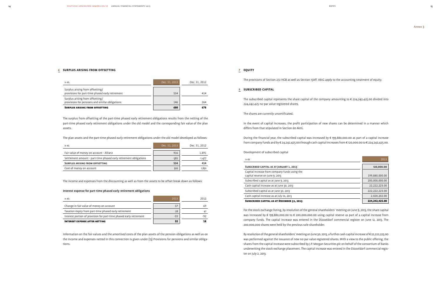### 6 **Surplus arising from offsetting**

| in $\notin$ k                                                                        | Dec. 31, 2013 | Dec. 31, 2012 |
|--------------------------------------------------------------------------------------|---------------|---------------|
| Surplus arising from offsetting/<br>provisions for part-time phased early retirement | 534           | 414           |
| Surplus arising from offsetting/<br>provisions for pensions and similar obligations  | 146           | 264           |
| <b>SURPLUS ARISING FROM OFFSETTING</b>                                               | 680           | 678           |

The surplus from offsetting of the part-time phased early retirement obligations results from the netting of the part-time phased early retirement obligations under the old model and the corresponding fair value of the plan assets.

The plan assets and the part-time phased early retirement obligations under the old model developed as follows:

| in €k                                                             | Dec. 31, 2013 | Dec. 31, 2012 |
|-------------------------------------------------------------------|---------------|---------------|
| Fair value of money on account - Allianz                          | 916           | 1.891         |
| Settlement amount - part-time phased early retirement obligations | $-382$        | $-1,477$      |
| <b>SURPLUS ARISING FROM OFFSETTING</b>                            | 534           | 414           |
| Cost of money on account                                          | 916           | 1,891         |

The subscribed capital represents the share capital of the company amounting to  $\epsilon$  224,242,425.00 divided into 224,242,425 no-par value registered shares.

The income and expenses from the discounting as well as from the assets to be offset break down as follows:

### Interest expense for part-time phased early retirement obligations

| in $\notin$ k                                                       | 2013 | 2012  |
|---------------------------------------------------------------------|------|-------|
| Change in fair value of money on account                            | 37   | 69    |
| Taxation expiry from part-time phased early retirement              | 28   | 41    |
| Interest portion of provision for part-time phased early retirement | -33  | $-92$ |
| <b>INTEREST EXPENSE AFTER NETTING</b>                               | 32   | 18    |

Information on the fair values and the amortised costs of the plan assets of the pension obligations as well as on the income and expenses netted in this connection is given under (13) Provisions for pensions and similar obligations.

### 7 **Equity**

The provisions of Section 272 HGB as well as Section 150ff. AktG apply to the accounting treatment of equity.

### 8 **Subscribed capital**

The shares are currently uncertificated.

In the event of capital increases, the profit participation of new shares can be determined in a manner which differs from that stipulated in Section 60 AktG.

During the financial year, the subscribed capital was increased by € 199,880,000.00 as part of a capital increase from company funds and by € 24,242,425.00 through cash capital increases from € 120,000.00 to € 224,242,425.00.

Development of subscribed capital

| in $\notin$ k                                     | 2013           |
|---------------------------------------------------|----------------|
| SUBSCRIBED CAPITAL AS AT JANUARY 1, 2013          | 120,000.00     |
| Capital increase from company funds using the     |                |
| capital reserve on June 9, 2013                   | 199,880,000.00 |
| Subscribed capital as at June 9, 2013             | 200,000,000.00 |
| Cash capital increase as at June 30, 2013         | 22,222,223.00  |
| Subscribed capital as at June 30, 2013            | 222,222,223.00 |
| Cash capital increase as at July 10, 2013         | 2,020,202.00   |
| <b>SUBSCRIBED CAPITAL AS AT DECEMBER 31, 2013</b> | 224,242,425.00 |

For the stock exchange listing, by resolution of the general shareholders' meeting on June 9, 2013, the share capital was increased by € 199,880,000.00 to € 200,000,000.00 using capital reserve as part of a capital increase from company funds. The capital increase was entered in the Düsseldorf commercial register on June 12, 2013. The 200,000,000 shares were held by the previous sole shareholder.

By resolution of the general shareholders' meeting on June 30, 2013, a further cash capital increase of € 22,222,223.00 was performed against the issuance of new no-par value registered shares. With a view to the public offering, the shares from the capital increase were subscribed by J.P. Morgan Securities plc on behalf of the consortium of banks underwriting the stock exchange placement. The capital increase was entered in the Düsseldorf commercial register on July 2, 2013.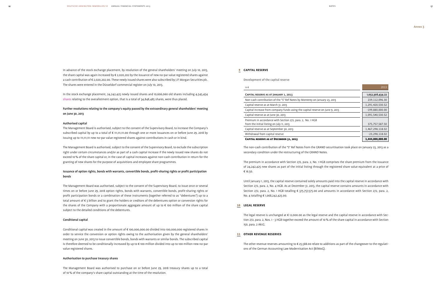In advance of the stock exchange placement, by resolution of the general shareholders' meeting on July 10, 2013, the share capital was again increased by € 2,020,202 by the issuance of new no-par value registered shares against a cash contribution of € 2,020,202.00. These newly issued shares were also subscribed by J.P. Morgan Securities plc. The shares were entered in the Düsseldorf commercial register on July 10, 2013.

In the stock exchange placement, 24,242,425 newly issued shares and 10,606,060 old shares including 4,545,454 shares relating to the overallotment option, that is a total of 34,848,485 shares, were thus placed.

### Further resolutions relating to the company's equity passed by the extraordinary general shareholders' meeting on June 30, 2013

### Authorised capital

The Management Board is authorised, subject to the consent of the Supervisory Board, to increase the Company's subscribed capital by up to a total of € 111,111,111.00 through one or more issuances on or before June 29, 2018 by issuing up to 111,111,111 new no-par value registered shares against contributions in cash or in kind.

The Management Board is authorised, subject to the consent of the Supervisory Board, to exclude the subscription right under certain circumstances and/or as part of a cash capital increase if the newly issued new shares do not exceed 10% of the share capital or, in the case of capital increases against non-cash contribution in return for the granting of new shares for the purpose of acquisitions and employee share programmes.

### Issuance of option rights, bonds with warrants, convertible bonds, profit-sharing rights or profit participation bonds

The Management Board was authorised, subject to the consent of the Supervisory Board, to issue once or several times on or before June 29, 2018 option rights, bonds with warrants, convertible bonds, profit-sharing rights or profit participation bonds or a combination of these instruments (together referred to as "debentures") up to a total amount of € 3 billion and to grant the holders or creditors of the debentures option or conversion rights for the shares of the Company with a proportionate aggregate amount of up to € 100 million of the share capital subject to the detailed conditions of the debentures.

### Conditional capital

Conditional capital was created in the amount of € 100,000,000.00 divided into 100,000,000 registered shares in order to service the conversion or option rights owing to the authorisation given by the general shareholders' meeting on June 30, 2013 to issue convertible bonds, bonds with warrants or similar bonds. The subscribed capital is therefore deemed to be conditionally increased by up to € 100 million divided into up to 100 million new no-par value registered shares.

### Authorisation to purchase treasury shares

The Management Board was authorised to purchase on or before June 29, 2018 treasury shares up to a total of 10% of the company's share capital outstanding at the time of the resolution.

### 9 **Capital reserve**

### Development of the capital reserve

| in $\epsilon$                                                                                           | 2013              |
|---------------------------------------------------------------------------------------------------------|-------------------|
| CAPITAL RESERVE AS AT JANUARY 1, 2013                                                                   | 1,052,308,434.22  |
| Non-cash contribution of the "S" Ref Notes by Monterey on January 23, 2013                              | 239,112,096.30    |
| Capital reserve as at March 31, 2013                                                                    | 1,291,420,530.52  |
| Capital increase from company funds using the capital reserve on June 9, 2013                           | $-199,880,000.00$ |
| Capital reserve as at June 30, 2013                                                                     | 1,091,540,530.52  |
| Premium in accordance with Section 272, para. 2, No. 1 HGB<br>from the initial listing on July 11, 2013 | 375,757,587.50    |
| Capital reserve as at September 30, 2013                                                                | 1,467,298,118.02  |
| Withdrawal from capital reserve                                                                         | $-23,298,118.02$  |
| <b>CAPITAL RESERVE AS AT DECEMBER 31, 2013</b>                                                          | 1,444,000,000.00  |

| CAPITAL RESERVE AS AT JANUARY 1, 2013                                                                   | 1,052,308,434.22  |
|---------------------------------------------------------------------------------------------------------|-------------------|
| Non-cash contribution of the "S" Ref Notes by Monterey on January 23, 2013                              | 239,112,096.30    |
| Capital reserve as at March 31, 2013                                                                    | 1,291,420,530.52  |
| Capital increase from company funds using the capital reserve on June 9, 2013                           | $-199,880,000.00$ |
| Capital reserve as at June 30, 2013                                                                     | 1,091,540,530.52  |
| Premium in accordance with Section 272, para. 2, No. 1 HGB<br>from the initial listing on July 11, 2013 | 375,757,587.50    |
| Capital reserve as at September 30, 2013                                                                | 1,467,298,118.02  |
| Withdrawal from capital reserve                                                                         | $-23,298,118.02$  |
|                                                                                                         |                   |

### CAPITAL RESERVE AS AT DECEMBER 31, 2013

The non-cash contribution of the "S" Ref Notes from the GRAND securitisation took place on January 23, 2013 as a secondary condition under the restructuring of the GRAND Notes.

The premium in accordance with Section 272, para. 2, No. 1 HGB comprises the share premium from the issuance of 24,242,425 new shares as part of the initial listing through the registered share value equivalent at a price of € 16.50.

Until January 1, 2013, the capital reserve contained solely amounts paid into the capital reserve in accordance with Section 272, para. 2, No. 4 HGB. As at December 31, 2013, the capital reserve contains amounts in accordance with Section 272, para. 2, No. 1 HGB totalling € 375,757,575.00 and amounts in accordance with Section 272, para. 2, No. 4 totalling € 1,068,242,425.00.

### 10 **Legal reserve**

The legal reserve is unchanged at € 12,000.00 as the legal reserve and the capital reserve in accordance with Section 272, para. 2, Nos. 1 - 3 HGB together exceed the amount of 10 % of the share capital in accordance with Section 150, para. 2 AktG.

### 11 **Other revenue reserves**

The other revenue reserves amounting to € 25,588.00 relate to additions as part of the changeover to the regulations of the German Accounting Law Modernisation Act (BilMoG).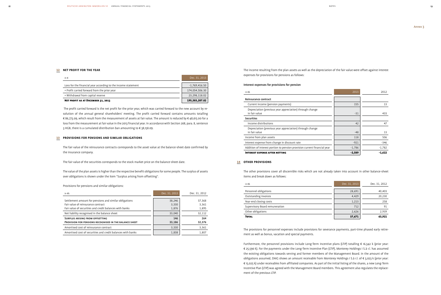## 12 **net profit for the year**

| in $\epsilon$                                                 | Dec. 31, 2013   |
|---------------------------------------------------------------|-----------------|
| Loss for the financial year according to the income statement | $-1,769,416.50$ |
|                                                               |                 |
| + Profit carried forward from the prior year                  | 174,054,506.30  |
| + Withdrawal from capital reserve                             | 23,298,118.02   |
| <b>NET PROFIT AS AT DECEMBER 31, 2013</b>                     | 195,583,207.82  |

The profit carried forward is the net profit for the prior year, which was carried forward to the new account by resolution of the annual general shareholders' meeting. The profit carried forward contains amounts totalling € 86,773.09, which result from the measurement of assets at fair value. The amount is reduced by € 48,615.00 for a loss from the measurement at fair value in the 2013 financial year. In accordance with Section 268, para. 8, sentence 3 HGB, there is a cumulated distribution ban amounting to € 38,158.09.

### 13 **Provisions for pensions and similar obligations**

The fair value of the reinsurance contracts corresponds to the asset value at the balance-sheet date confirmed by the insurance company.

The fair value of the securities corresponds to the stock market price on the balance-sheet date.

The value of the plan assets is higher than the respective benefit obligations for some people. The surplus of assets over obligations is shown under the item "Surplus arising from offsetting".

### Provisions for pensions and similar obligations:

| in $\notin$ k                                               | Dec. 31, 2013 | Dec. 31, 2012 |
|-------------------------------------------------------------|---------------|---------------|
| Settlement amount for pensions and similar obligations      | 38,246        | 37,368        |
| Fair value of reinsurance contract                          | 3,330         | 3.361         |
| Fair value of securities and credit balances with banks     | 1,876         | 1,895         |
| Net liability recognised in the balance sheet               | 33,040        | 32,112        |
| <b>SURPLUS ARISING FROM OFFSETTING</b>                      | 146           | 264           |
| PROVISION FOR PENSIONS RECOGNISED IN THE BALANCE SHEET      | 33,186        | 32,376        |
| Amortised cost of reinsurance contract                      | 3,330         | 3,361         |
| Amortised cost of securities and credit balances with banks | 1,838         | 1.807         |

The income resulting from the plan assets as well as the depreciation of the fair value were offset against interest expenses for provisions for pensions as follows:

### Interest expenses for provisions for pension

### Reinsurance contract

| in $\notin$ k                                                             | 2013     | 2012     |
|---------------------------------------------------------------------------|----------|----------|
| Reinsurance contract                                                      |          |          |
| Current income (pension payments)                                         | 155      | 13       |
| Depreciation (previous year appreciation) through change<br>in fair value | $-31$    | 433      |
| <b>Securities</b>                                                         |          |          |
| Income distributions                                                      | 42       | 47       |
| Depreciation (previous year appreciation) through change<br>in fair value | $-48$    | 13       |
| Income from plan assets                                                   | 118      | 506      |
| Interest expense from change in discount rate                             | $-921$   | $-346$   |
| Addition of interest portion to pension provision current financial year  | $-1,786$ | $-1,782$ |
| <b>INTEREST EXPENSE AFTER NETTING</b>                                     | $-2,589$ | $-1,622$ |

### Securities

### Income distributions

### 14 **Other provisions**

The other provisions cover all discernible risks which are not already taken into account in other balance-sheet items and break down as follows:

| in $\epsilon$ k                | Dec. 31, 2013 | Dec. 31, 2012 |
|--------------------------------|---------------|---------------|
| Personnel obligations          | 28,691        | 40,403        |
| Outstanding invoices           | 4,429         | 20,230        |
| Year-end closing costs         | 1,213         | 258           |
| Supervisory Board remuneration | 712           | 91            |
| Other obligations              | 2,626         | 2,939         |
| <b>TOTAL</b>                   | 37,671        | 63,921        |

The provisions for personnel expenses include provisions for severance payments, part-time phased early retirement as well as bonus, vacation and special payments.

Furthermore, the personnel provisions include Long-Term Incentive plans (LTIP) totalling € 16,342 k (prior year: € 25,590 k). For the payments under the Long-Term Incentive Plan (LTIP), Monterey Holdings I S.à r.l. has assumed the existing obligations towards serving and former members of the Management Board. In the amount of the obligations assumed, DAIG shows an amount receivable from Monterey Holdings I S.à r.l. of € 3,023 k (prior year: € 15,025 k) under receivables from affiliated companies. As part of the initial listing of the shares, a new Long-Term Incentive Plan (LTIP) was agreed with the Management Board members. This agreement also regulates the replacement of the previous LTIP.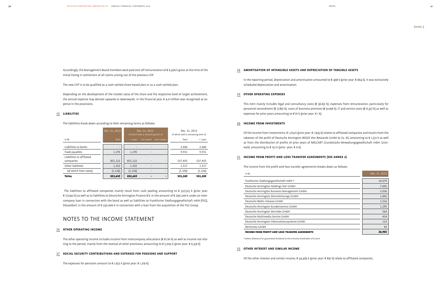### 18 **Amortisation of intangible assets and depreciation of tangible assets**

In the reporting period, depreciation and amortisation amounted to € 498 k (prior year: € 864 k). It was exclusively scheduled depreciation and amortisation.

### 19 **other operating expenses**

Of the income from investments, € 1,724 k (prior year: € 1,845 k) relates to affiliated companies and results from the takeover of the profit of Deutsche Annington WOGE Vier Bestands GmbH & Co. KG amounting to € 1,572 k as well as from the distribution of profits of prior years of MELCART Grundstücks-Verwaltungsgesellschaft mbH, Grünwald, amounting to  $\epsilon$  152 k (prior year:  $\epsilon$  0 k)

This item mainly includes legal and consultancy costs (€ 38,831 k), expenses from remuneration, particularly for personnel secondment (€ 17,891 k), costs of business premises (€ 9,096 k), IT and service costs (€ 8,357 k) as well as expenses for prior years amounting to € 81 k (prior year: € 1 k).

### 20 **income from investments**

### 21 **Income from profit-and-loss transfer agreements (see Annex 2)**

The income from the profit-and-loss transfer agreements breaks down as follows:

| in $\notin$ k                                          | Dec. 31, 2013 |
|--------------------------------------------------------|---------------|
| Frankfurter Siedlungsgesellschaft mbH *                | 14,079        |
| Deutsche Annington Holdings Vier GmbH                  | 7,005         |
| Deutsche Annington Business Management GmbH            | 2,036         |
| Deutsche Annington Dienstleistungs GmbH                | 1,842         |
| Deutsche Wohn-Inkasso GmbH                             | 1,516         |
| Deutsche Annington Kundenservice GmbH                  | 1,295         |
| Deutsche Annington Vertriebs GmbH                      | 564           |
| Deutsche Multimedia Service GmbH                       | 414           |
| Deutsche Annington Informationssysteme GmbH            | 110           |
| Verimmo2 GmbH                                          | 42            |
| <b>INCOME FROM PROFIT-AND-LOSS TRANSFER AGREEMENTS</b> | 28,903        |

| Frankfurter Siedlungsgesellschaft mbH *     | 14,079 |
|---------------------------------------------|--------|
| Deutsche Annington Holdings Vier GmbH       | 7,005  |
| Deutsche Annington Business Management GmbH | 2,036  |
| Deutsche Annington Dienstleistungs GmbH     | 1,842  |
| Deutsche Wohn-Inkasso GmbH                  | 1,516  |
| Deutsche Annington Kundenservice GmbH       | 1,295  |
| Deutsche Annington Vertriebs GmbH           | 564    |
| Deutsche Multimedia Service GmbH            | 414    |
| Deutsche Annington Informationssysteme GmbH | 110    |
| Verimmo2 GmbH                               | 42     |
|                                             |        |

### INCOME FROM PROFIT-AND-LOSS TRANSFER AGREEMENTS

\* before allowance for guaranteed dividends to the minority shareholder of  $\epsilon$  200 k

### 22 **other interest and similar income**

Of the other interest and similar income, € 34,483 k (prior year: € 897 k) relate to affiliated companies.

Accordingly, the Management Board members were paid one-off remuneration of € 6,300 k gross at the time of the initial listing in settlement of all claims arising out of the previous LTIP.

The new LTIP is to be qualified as a cash-settled share-based plan or as a cash-settled plan.

Depending on the development of the market value of the share and the respective level of target achievement, the annual expense may deviate upwards or downwards. In the financial year,  $\epsilon$  4.0 million was recognised as expense in the provisions.

### 15 **liabilities**

The liabilities break down according to their remaining terms as follows:

|                                        | Dec. 31, 2013 | Dec. 31, 2013<br>of which with a remaining term of |              |                          |          | Dec. 31, 2012<br>of which with a remaining term of |  |
|----------------------------------------|---------------|----------------------------------------------------|--------------|--------------------------|----------|----------------------------------------------------|--|
| in $\notin$ k                          | Total         | $1$ year                                           | 1 to 5 years | over 5 years             | Total    | <1 year                                            |  |
| Liabilities to banks                   | -             |                                                    |              |                          | 2.686    | 2,686                                              |  |
| Trade payables                         | 1,195         | 1.195                                              | ۰            | $\overline{\phantom{0}}$ | 9,931    | 9,931                                              |  |
| Liabilities to affiliated<br>companies | 851,122       | 851,122                                            |              |                          | 537,455  | 537,455                                            |  |
| Other liabilities                      | 1,332         | 1,332                                              |              |                          | 1,317    | 1,317                                              |  |
| (of which from taxes)                  | (1, 156)      | (1, 156)                                           |              | $\overline{\phantom{0}}$ | (1, 106) | (1, 106)                                           |  |
| <b>TOTAL</b>                           | 853,649       | 853,649                                            |              | -                        | 551,389  | 551,389                                            |  |

The liabilities to affiliated companies mainly result from cash pooling amounting to € 327,523 k (prior year: € 177,941 k) as well as to liabilities to Deutsche Annington Finance B.V. in the amount of € 290,200 k under an intercompany loan in connection with the bond as well as liabilities to Frankfurter Siedlungsgesellschaft mbH (FSG), Düsseldorf, in the amount of € 230,000 k in connection with a loan from the acquisition of the FSG Group.

## Notes to the income statement

### 16 **other operating income**

The other operating income includes income from intercompany allocations (€ 81,161 k) as well as income not relating to the period, mainly from the reversal of other provisions amounting to € 5,003 k (prior year: € 6,319 k).

### 17 **Social security contributions and expenses for pensions and support**

The expenses for pensions amount to  $\epsilon$  1,052 k (prior year:  $\epsilon$  1,219 k).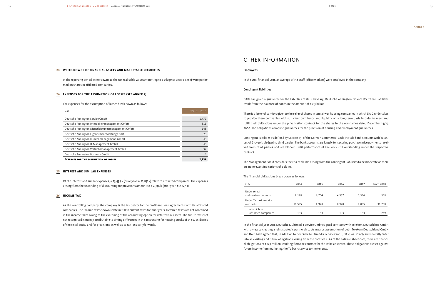### 23 **Write-downs of financial assets and marketable securities**

In the reporting period, write-downs to the net realisable value amounting to € 0 k (prior year: € 130 k) were performed on shares in affiliated companies.

### 24 **Expenses for the assumption of losses (see Annex 2)**

The expenses for the assumption of losses break down as follows:

| in $\notin$ k                                     | Dec. 31, 2013 |
|---------------------------------------------------|---------------|
| Deutsche Annington Service GmbH                   | 1.472         |
| Deutsche Annington Immobilienmanagement GmbH      | 315           |
| Deutsche Annington Dienstleistungsmanagement GmbH | 143           |
| Deutsche Annington Eigentumsverwaltungs GmbH      | 70            |
| Deutsche Annington Kundenmanagement GmbH          | 48            |
| Deutsche Annington IT-Management GmbH             | 43            |
| Deutsche Annington Vertriebsmanagement GmbH       | 37            |
| Deutsche Annington Business GmbH                  | 6             |
| <b>EXPENSES FOR THE ASSUMPTION OF LOSSES</b>      | 2.134         |

### 25 **Interest and similar expenses**

Of the interest and similar expenses, € 23,439 k (prior year: € 22,851 k) relate to affiliated companies. The expenses arising from the unwinding of discounting for provisions amount to € 2,746 k (prior year: € 2,227 k).

### 26 **income tax**

As the controlling company, the company is the tax debtor for the profit-and-loss agreements with its affiliated companies. The income taxes shown relate in full to current taxes for prior years. Deferred taxes are not contained in the income taxes owing to the exercising of the accounting option for deferred tax assets. The future tax relief not recognised is mainly attributable to timing differences in the accounting for housing stocks of the subsidiaries of the fiscal entity and for provisions as well as to tax loss carryforwards.

## Other information

### Employees

In the 2013 financial year, an average of 154 staff (office workers) were employed in the company.

### Contingent liabilities

DAIG has given a guarantee for the liabilities of its subsidiary, Deutsche Annington Finance B.V. These liabilities result from the issuance of bonds in the amount of € 2.3 billion.

There is a letter of comfort given to the seller of shares in ten railway housing companies in which DAIG undertakes to provide these companies with sufficient own funds and liquidity on a long-term basis in order to meet and fulfil their obligations under the privatisation contract for the shares in the companies dated December 14/15, 2000. The obligations comprise guarantees for the provision of housing and employment guarantees.

Contingent liabilities as defined by Section 251 of the German Commercial Code include bank accounts with balances of € 5,590 k pledged to third parties. The bank accounts are largely for securing purchase price payments received from third parties and are blocked until performance of the work still outstanding under the respective contract.

The Management Board considers the risk of claims arising from the contingent liabilities to be moderate as there are no relevant indications of a claim.

### The financial obligations break down as follows:

| in $\epsilon$ k        | 2014   | 2015  | 2016  | 2017  | from $2018$ |
|------------------------|--------|-------|-------|-------|-------------|
| Under rental           |        |       |       |       |             |
| and service contracts  | 7,178  | 6,704 | 4,957 | 1,336 | 308         |
| Under TV basic-service |        |       |       |       |             |
| contracts              | 11,585 | 8.928 | 8.928 | 8.095 | 91,758      |
| of which to            |        |       |       |       |             |
| affiliated companies   | 153    | 153   | 153   | 153   | 269         |

In the financial year 2011, Deutsche Multimedia Service GmbH signed contracts with Telekom Deutschland GmbH with a view to creating a joint strategic partnership. As regards assumption of debt, Telekom Deutschland GmbH and DAIG have agreed that, in addition to Deutsche Multimedia Service GmbH, DAIG will jointly and severally enter into all existing and future obligations arising from the contracts. As of the balance-sheet date, there are financial obligations of € 129 million resulting from the contract for the TV basic service. These obligations are set against future income from marketing the TV basic service to the tenants.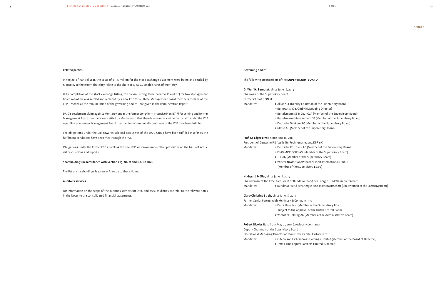### Related parties

In the 2013 financial year, the costs of € 3.6 million for the stock exchange placement were borne and settled by Monterey to the extent that they relate to the share of 10,606,060 old shares of Monterey.

With completion of the stock exchange listing, the previous Long-Term Incentive Plan (LTIP) for two Management Board members was settled and replaced by a new LTIP for all three Management Board members. Details of the LTIP – as well as the remuneration of the governing bodies - are given in the Remuneration Report.

DAIG's settlement claim against Monterey under the former Long-Term Incentive Plan (LTIP) for serving and former Management Board members was settled by Monterey so that there is now only a settlement claim under the LTIP regarding one former Management Board member for whom not all conditions of the LTIP have been fulfilled.

The obligations under the LTIP towards selected executives of the DAIG Group have been fulfilled insofar as the fulfilment conditions have been met through the IPO.

Obligations under the former LTIP as well as the new LTIP are shown under other provisions on the basis of actuarial calculations and reports.

### Shareholdings in accordance with Section 285, No. 11 and No. 11a HGB

The list of shareholdings is given in Annex 2 to these Notes.

### Auditor's services

For information on the scope of the auditor's services for DAIG and its subsidiaries, we refer to the relevant notes in the Notes to the consolidated financial statements.

### Governing bodies

The following are members of the **Supervisory Board**:

Dr Wulf H. Bernotat, since June 18, 2013 Chairman of the Supervisory Board Former CEO of E.ON SE

- > Bernotat & Cie. GmbH (Managing Director)
- > Bertelsmann SE & Co. KGaA (Member of the Supervisory Board)
- > Bertelsmann Management SE (Member of the Supervisory Board)
- > Deutsche Telekom AG (Member of the Supervisory Board)
	- > Metro AG (Member of the Supervisory Board)

### Prof. Dr Edgar Ernst, since June 18, 2013

President of Deutsche Prüfstelle für Rechnungslegung DPR e.V.

Mandates: > Deutsche Postbank AG (Member of the Supervisory Board)

- 
- > DMG MORI SEIKI AG (Member of the Supervisory Board)
- > TUI AG (Member of the Supervisory Board)
- > Wincor Nixdorf AG/Wincor Nixdorf International GmbH
- (Member of the Supervisory Board)

### Hildegard Müller, since June 18, 2013

Chairwoman of the Executive Board of Bundesverband der Energie- und Wasserwirtschaft Mandates: > Bundesverband der Energie- und Wasserwirtschaft (Chairwoman of the Executive Board)

### Clara-Christina Streit, since June 18, 2013

Former Senior Partner with McKinsey & Company, Inc. Mandates: > Delta Lloyd N.V. (Member of the Supervisory Board, subject to the approval of the Dutch Central Bank) > Vontobel Holding AG (Member of the Administrative Board)

Robert Nicolas Barr, from May 21, 2013 (previously dormant) Deputy Chairman of the Supervisory Board Operational Managing Director of Terra Firma Capital Partners Ltd. Mandates: > Odeon and UCI Cinemas Holdings Limited (Member of the Board of Directors)

> Terra Firma Capital Partners Limited (Director)

Annex 3

Mandates: > Allianz SE (Deputy Chairman of the Supervisory Board)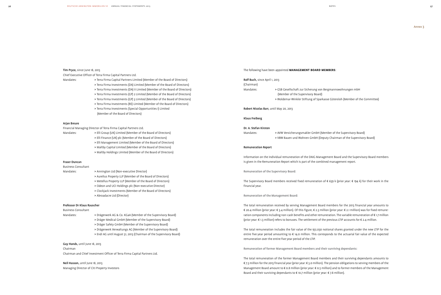### Tim Pryce, since June 18, 2013

Chief Executive Officer of Terra Firma Capital Partners Ltd.

- Mandates: > Terra Firma Capital Partners Limited (Member of the Board of Directors)
	- > Terra Firma Investments (DA) Limited (Member of the Board of Directors)
		- > Terra Firma Investments (DA) II Limited (Member of the Board of Directors)
		- > Terra Firma Investments (GP) 2 Limited (Member of the Board of Directors)
		- > Terra Firma Investments (GP) 3 Limited (Member of the Board of Directors)
		- > Terra Firma Investments (RE) Limited (Member of the Board of Directors)
		- > Terra Firma Investments (Special Opportunities I) Limited (Member of the Board of Directors)

- Mandates: > Elli Group (UK) Limited (Member of the Board of Directors)
	- > Elli Finance (UK) plc (Member of the Board of Directors)
	- > Elli Management Limited (Member of the Board of Directors)
	- > Maltby Capital Limited (Member of the Board of Directors)
	- > Maltby Holdings Limited (Member of the Board of Directors)

### Arjan Breure

Financial Managing Director of Terra Firma Capital Partners Ltd.

Mandates: > Drägerwerk AG & Co. KGaA (Member of the Supervisory Board) > Dräger Medical GmbH (Member of the Supervisory Board)

### Fraser Duncan

### Business Consultant

- Mandates: > Annington Ltd (Non-executive Director)
	- > Aurelius Property LLP (Member of the Board of Directors)
	- > Metellus Property LLP (Member of the Board of Directors)
	- > Odeon and UCI Holdings plc (Non-executive Director)
	- > Clockjack Investments (Member of the Board of Directors) > Abroadacre Ltd (Director)

### Professor Dr Klaus Rauscher

### Business Consultant

- > Dräger Safety GmbH (Member of the Supervisory Board)
- > Drägerwerk Verwaltungs AG (Member of the Supervisory Board)
- > Endi AG until August 31, 2013 (Chairman of the Supervisory Board)

### Guy Hands, until June 18, 2013

The total remuneration of the former Management Board members and their surviving dependants amounts to € 7.3 million for the 2013 financial year (prior year: € 3.0 million). The pension obligations to serving members of the Management Board amount to € 0.8 million (prior year: € 0.5 million) and to former members of the Management Board and their surviving dependants to  $\epsilon$  10.7 million (prior year:  $\epsilon$  7.8 million).

Chairman Chairman and Chief Investment Officer of Terra Firma Capital Partners Ltd.

Neil Hasson, until June 18, 2013 Managing Director of Citi Property Investors

### The following have been appointed **Management Board members**:

Rolf Buch, since April 1, 2013

(Chairman)

Mandates: > GSB Gesellschaft zur Sicherung von Bergmannswohnungen mbH (Member of the Supervisory Board) > Woldemar-Winkler Stiftung of Sparkasse Gütersloh (Member of the Committee)

### Robert Nicolas Barr, until May 20, 2013

### Klaus Freiberg

### Dr. A. Stefan Kirsten

Mandates: > AVW Versicherungsmakler GmbH (Member of the Supervisory Board) > VBW Bauen und Wohnen GmbH (Deputy Chairman of the Supervisory Board)

### Remuneration Report

Information on the individual remuneration of the DAIG Management Board and the Supervisory Board members is given in the Remuneration Report which is part of the combined management report.

Remuneration of the Supervisory Board:

The Supervisory Board members received fixed remuneration of € 639 k (prior year: € 194 k) for their work in the financial year.

### Remuneration of the Management Board:

The total remuneration received by serving Management Board members for the 2013 financial year amounts to € 20.4 million (prior year: € 3.4 million). Of this figure, € 2.3 million (prior year: € 2.1 million) was for fixed remuneration components including non-cash benefits and other remuneration. The variable remuneration of € 1.7 million (prior year: € 1.3 million) refers to bonuses. The settlement of the previous LTIP accounts for € 2.4 million.

The total remuneration includes the fair value of the 931,030 notional shares granted under the new LTIP for the entire five-year period amounting to € 14.0 million. This corresponds to the actuarial fair value of the expected remuneration over the entire five-year period of the LTIP.

Remuneration of former Management Board members and their surviving dependants: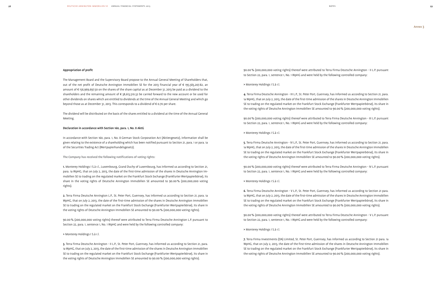### Appropriation of profit

The Management Board and the Supervisory Board propose to the Annual General Meeting of Shareholders that, out of the net profit of Deutsche Annington Immobilien SE for the 2013 financial year of € 195,583,207.82, an amount of € 156,969,697.50 on the shares of the share capital as at December 31, 2013 be paid as a dividend to the shareholders and the remaining amount of € 38,613,510.32 be carried forward to the new account or be used for other dividends on shares which are entitled to dividends at the time of the Annual General Meeting and which go beyond those as at December 31, 2013. This corresponds to a dividend of € 0.70 per share.

The dividend will be distributed on the basis of the shares entitled to a dividend at the time of the Annual General Meeting.

### Declaration in accordance with Section 160, para. 1, No. 8 AktG

In accordance with Section 160, para. 1, No. 8 German Stock Corporation Act (Aktiengesetz), information shall be given relating to the existence of a shareholding which has been notified pursuant to Section 21, para. 1 or para. 1a of the Securities Trading Act (Wertpapierhandelsgesetz).

### The Company has received the following notifications of voting rights:

1. Monterey Holdings I S.à r.l., Luxembourg, Grand Duchy of Luxembourg, has informed us according to Section 21, para. 1a WpHG, that on July 2, 2013, the date of the first-time admission of the shares in Deutsche Annington Immobilien SE to trading on the regulated market on the Frankfurt Stock Exchange (Frankfurter Wertpapierbörse), its share in the voting rights of Deutsche Annington Immobilien SE amounted to 90.00% (200,000,000 voting rights).

4. Terra Firma Deutsche Annington - III L.P., St. Peter Port, Guernsey, has informed us according to Section 21, para. 1a WpHG, that on July 2, 2013, the date of the first-time admission of the shares in Deutsche Annington Immobilien SE to trading on the regulated market on the Frankfurt Stock Exchange (Frankfurter Wertpapierbörse), its share in the voting rights of Deutsche Annington Immobilien SE amounted to 90.00% (200,000,000 voting rights).

2. Terra Firma Deutsche Annington L.P., St. Peter Port, Guernsey, has informed us according to Section 21, para. 1a WpHG, that on July 2, 2013, the date of the first-time admission of the shares in Deutsche Annington Immobilien SE to trading on the regulated market on the Frankfurt Stock Exchange (Frankfurter Wertpapierbörse), its share in the voting rights of Deutsche Annington Immobilien SE amounted to 90.00% (200,000,000 voting rights).

90.00% (200,000,000 voting rights) thereof were attributed to Terra Firma Deutsche Annington L.P. pursuant to Section 22, para. 1, sentence 1, No. 1 WpHG and were held by the following controlled company:

### > Monterey Holdings I S.à r.l.

3. Terra Firma Deutsche Annington - II L.P., St. Peter Port, Guernsey, has informed us according to Section 21, para. 1a WpHG, that on July 2, 2013, the date of the first-time admission of the shares in Deutsche Annington Immobilien SE to trading on the regulated market on the Frankfurt Stock Exchange (Frankfurter Wertpapierbörse), its share in the voting rights of Deutsche Annington Immobilien SE amounted to 90.00% (200,000,000 voting rights).

90.00% (200,000,000 voting rights) thereof were attributed to Terra Firma Deutsche Annington - II L.P. pursuant to Section 22, para. 1, sentence 1, No. 1 WpHG and were held by the following controlled company:

> Monterey Holdings I S.à r.l.

90.00% (200,000,000 voting rights) thereof were attributed to Terra Firma Deutsche Annington - III L.P. pursuant to Section 22, para. 1, sentence 1, No. 1 WpHG and were held by the following controlled company:

> Monterey Holdings I S.à r.l.

5. Terra Firma Deutsche Annington - IV L.P., St. Peter Port, Guernsey, has informed us according to Section 21, para. 1a WpHG, that on July 2, 2013, the date of the first-time admission of the shares in Deutsche Annington Immobilien SE to trading on the regulated market on the Frankfurt Stock Exchange (Frankfurter Wertpapierbörse), its share in the voting rights of Deutsche Annington Immobilien SE amounted to 90.00% (200,000,000 voting rights).

90.00% (200,000,000 voting rights) thereof were attributed to Terra Firma Deutsche Annington - IV L.P. pursuant to Section 22, para. 1, sentence 1, No. 1 WpHG and were held by the following controlled company:

> Monterey Holdings I S.à r.l.

6. Terra Firma Deutsche Annington - V L.P., St. Peter Port, Guernsey, has informed us according to Section 21 para. 1a WpHG, that on July 2, 2013, the date of the first-time admission of the shares in Deutsche Annington Immobilien SE to trading on the regulated market on the Frankfurt Stock Exchange (Frankfurter Wertpapierbörse), its share in the voting rights of Deutsche Annington Immobilien SE amounted to 90.00% (200,000,000 voting rights).

90.00% (200,000,000 voting rights) thereof were attributed to Terra Firma Deutsche Annington - V L.P. pursuant to Section 22, para. 1, sentence 1, No. 1 WpHG and were held by the following controlled company:

> Monterey Holdings I S.à r.l.

7. Terra Firma Investments (DA) Limited, St. Peter Port, Guernsey, has informed us according to Section 21 para. 1a WpHG, that on July 2, 2013, the date of the first-time admission of the shares in Deutsche Annington Immobilien SE to trading on the regulated market on the Frankfurt Stock Exchange (Frankfurter Wertpapierbörse), its share in the voting rights of Deutsche Annington Immobilien SE amounted to 90.00% (200,000,000 voting rights).

### notes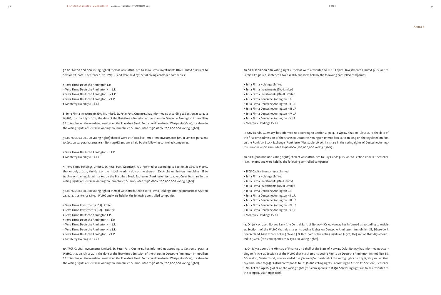90.00% (200,000,000 voting rights) thereof were attributed to Terra Firma Investments (DA) Limited pursuant to Section 22, para. 1, sentence 1, No. 1 WpHG and were held by the following controlled companies:

- > Terra Firma Deutsche Annington L.P.
- > Terra Firma Deutsche Annington III L.P.
- > Terra Firma Deutsche Annington IV L.P.
- > Terra Firma Deutsche Annington V L.P.
- > Monterey Holdings I S.à r.l.

8. Terra Firma Investments (DA) IILimited, St. Peter Port, Guernsey, has informed us according to Section 21 para. 1a WpHG, that on July 2, 2013, the date of the first-time admission of the shares in Deutsche Annington Immobilien SE to trading on the regulated market on the Frankfurt Stock Exchange (Frankfurter Wertpapierbörse), its share in the voting rights of Deutsche Annington Immobilien SE amounted to 90.00% (200,000,000 voting rights).

90.00% (200,000,000 voting rights) thereof were attributed to Terra Firma Investments (DA) II Limited pursuant to Section 22, para. 1, sentence 1, No. 1 WpHG and were held by the following controlled companies:

> Terra Firma Deutsche Annington - II L.P.

> Monterey Holdings I S.à r.l.

9. Terra Firma Holdings Limited, St. Peter Port, Guernsey, has informed us according to Section 21 para. 1a WpHG, that on July 2, 2013, the date of the first-time admission of the shares in Deutsche Annington Immobilien SE to trading on the regulated market on the Frankfurt Stock Exchange (Frankfurter Wertpapierbörse), its share in the voting rights of Deutsche Annington Immobilien SE amounted to 90.00% (200,000,000 voting rights).

90.00% (200,000,000 voting rights) thereof were attributed to Terra Firma Holdings Limited pursuant to Section 22, para. 1, sentence 1, No. 1 WpHG and were held by the following controlled companies:

- > Terra Firma Investments (DA) Limited
- > Terra Firma Investments (DA) II Limited
- > Terra Firma Deutsche Annington L.P.
- > Terra Firma Deutsche Annington II L.P.
- > Terra Firma Deutsche Annington III L.P.
- > Terra Firma Deutsche Annington IV L.P.
- > Terra Firma Deutsche Annington V L.P.
- > Monterey Holdings I S.à r.l.

10. TFCP Capital Investments Limited, St. Peter Port, Guernsey, has informed us according to Section 21 para. 1a WpHG, that on July 2, 2013, the date of the first-time admission of the shares in Deutsche Annington Immobilien SE to trading on the regulated market on the Frankfurt Stock Exchange (Frankfurter Wertpapierbörse), its share in the voting rights of Deutsche Annington Immobilien SE amounted to 90.00% (200,000,000 voting rights).

90.00% (200,000,000 voting rights) thereof were attributed to TFCP Capital Investments Limited pursuant to Section 22, para. 1, sentence 1, No. 1 WpHG and were held by the following controlled companies:

- > Terra Firma Holdings Limited
	- > Terra Firma Investments (DA) Limited
	- > Terra Firma Investments (DA) II Limited
	- > Terra Firma Deutsche Annington L.P.
	- > Terra Firma Deutsche Annington II L.P.
	- > Terra Firma Deutsche Annington III L.P.
	- > Terra Firma Deutsche Annington IV L.P.
	- > Terra Firma Deutsche Annington V L.P.
	- > Monterey Holdings I S.à r.l.

11. Guy Hands, Guernsey, has informed us according to Section 21 para. 1a WpHG, that on July 2, 2013, the date of the first-time admission of the shares in Deutsche Annington Immobilien SE to trading on the regulated market on the Frankfurt Stock Exchange (Frankfurter Wertpapierbörse), his share in the voting rights of Deutsche Annington Immobilien SE amounted to 90.00% (200,000,000 voting rights).

90.00% (200,000,000 voting rights) thereof were attributed to Guy Hands pursuant to Section 22 para. 1 sentence 1 No. 1 WpHG and were held by the following controlled companies:

- > TFCP Capital Investments Limited
- > Terra Firma Holdings Limited
- > Terra Firma Investments (DA) Limited
- > Terra Firma Investments (DA) II Limited
- > Terra Firma Deutsche Annington L.P.
- > Terra Firma Deutsche Annington II L.P.
- > Terra Firma Deutsche Annington III L.P.
- > Terra Firma Deutsche Annington IV L.P.
- > Terra Firma Deutsche Annington V L.P.
- > Monterey Holdings I S.à r.l.

12. On July 25, 2013, Norges Bank (the Central Bank of Norway), Oslo, Norway has informed us according to Article 21, Section 1 of the WpHG that via shares its Voting Rights on Deutsche Annington Immobilien SE, Düsseldorf, Deutschland, have exceeded the 3% and 5% threshold of the voting rights on July 11, 2013 and on that day amounted to 5.47% (this corresponds to 12,150,000 voting rights).

13. On July 25, 2013, the Ministry of Finance on behalf of the State of Norway, Oslo, Norway has informed us according to Article 21, Section 1 of the WpHG that via shares its Voting Rights on Deutsche Annington Immobilien SE, Düsseldorf, Deutschland, have exceeded the 3% and 5% threshold of the voting rights on July 11, 2013 and on that day amounted to 5.47% (this corresponds to 12,150,000 voting rights). According to Article 22, Section 1, Sentence 1, No. 1 of the WpHG, 5.47% of the voting rights (this corresponds to 12,150,000 voting rights) is to be attributed to the company via Norges Bank.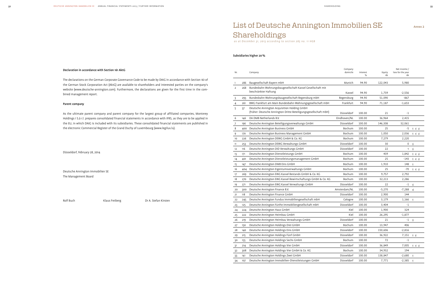### Declaration in accordance with Section 161 AktG

The declarations on the German Corporate Governance Code to be made by DAIG in accordance with Section 161 of the German Stock Corporation Act (AktG) are available to shareholders and interested parties on the company's website (www.deutsche-annington.com). Furthermore, the declarations are given for the first time in the combined management report.

### Parent company

As the ultimate parent company and parent company for the largest group of affiliated companies, Monterey Holdings I S.à r.l. prepares consolidated financial statements in accordance with IFRS, as they are to be applied in the EU, in which DAIG is included with its subsidiaries. These consolidated financial statements are published in the electronic Commercial Register of the Grand Duchy of Luxembourg (www.legilux.lu).

Düsseldorf, February 28, 2014

Deutsche Annington Immobilien SE The Management Board

Rolf Buch Klaus Freiberg Dr A. Stefan Kirsten

| Nr.            |     | Company                                                                                                         | Company<br>domicile | Interest<br>$\%$ | Equity<br>€k | Net income /<br>loss for the year<br>€k |          |
|----------------|-----|-----------------------------------------------------------------------------------------------------------------|---------------------|------------------|--------------|-----------------------------------------|----------|
| 1              | 286 | Baugesellschaft Bayern mbH                                                                                      | Munich              | 94.90            | 122,043      | 5,980                                   |          |
| $\overline{2}$ | 268 | Bundesbahn Wohnungsbaugesellschaft Kassel Gesellschaft mit<br>beschränkter Haftung                              | Kassel              | 94.90            | 1,739        | $-2,556$                                |          |
| 3              | 293 | Bundesbahn-Wohnungsbaugesellschaft Regensburg mbH                                                               | Regensburg          | 94.90            | 51,090       | $-867$                                  |          |
| 4              | 261 | BWG Frankfurt am Main Bundesbahn-Wohnungsgesellschaft mbH                                                       | Frankfurt           | 94.90            | 71,187       | $-1,653$                                |          |
| 5              | 37  | Deutsche Annington Acquisition Holding GmbH<br>(früher: Deutsche Annington Dritte Beteiligungsgesellschaft mbH) | Düsseldorf          | 100.00           | 21           | $-1$                                    |          |
| 6              | 146 | DA DMB Netherlands B.V.                                                                                         | Eindhoven/NL        | 100.00           | 36,964       | 2,415                                   |          |
| 7              | 196 | Deutsche Annington Beteiligungsverwaltungs GmbH                                                                 | Düsseldorf          | 100.00           | 146,308      | 32,061                                  |          |
| 8              | 400 | Deutsche Annington Business GmbH                                                                                | Bochum              | 100.00           | 25           | -5                                      | 1) 2) 3) |
| 9              | 170 | Deutsche Annington Business Management GmbH                                                                     | Bochum              | 100.00           | 1,050        | 2,036                                   | 1) 2) 3) |
| 10             | 226 | Deutsche Annington DEWG GmbH & Co. KG                                                                           | Bochum              | 100.00           | 7,279        | 2,220                                   |          |
| 11             | 253 | Deutsche Annington DEWG Verwaltungs GmbH                                                                        | Düsseldorf          | 100.00           | 30           | $0 \t 5)$                               |          |
| 12             | 116 | Deutsche Annington DID Verwaltungs GmbH                                                                         | Düsseldorf          | 100.00           | 22           | $-1$                                    | 5)       |
| 13             | 171 | Deutsche Annington Dienstleistungs GmbH                                                                         | Bochum              | 100.00           | 439          | 1,842                                   | 1) 2) 3) |
| 14             | 401 | Deutsche Annington Dienstleistungsmanagement GmbH                                                               | Bochum              | 100.00           | 25           | -143                                    | 1) 2) 3) |
| 15             | 147 | Deutsche Annington DMB Eins GmbH                                                                                | Bochum              | 100.00           | 1,910        | 148                                     | 1)       |
| 16             | 404 | Deutsche Annington Eigentumsverwaltungs GmbH                                                                    | Bochum              | 100.00           | 25           | -70                                     | 1) 2) 3) |
| 17             | 269 | Deutsche Annington EWG Kassel Bestands GmbH & Co. KG                                                            | Bochum              | 100.00           | 9,757        | 2,792                                   |          |
| 18             | 270 | Deutsche Annington EWG Kassel Bewirtschaftungs GmbH & Co. KG                                                    | Bochum              | 100.00           | 32,213       | 2,286                                   |          |
| 19             | 271 | Deutsche Annington EWG Kassel Verwaltungs GmbH                                                                  | Düsseldorf          | 100.00           | 22           | $-1$ 5)                                 |          |
| 20             | 300 | Deutsche Annington Finance B.V.                                                                                 | Amsterdam/NL        | 100.00           | $-5,270$     | $-7,288$                                | 4)       |
| 21             | 118 | Deutsche Annington Finance GmbH                                                                                 | Düsseldorf          | 100.00           | 2,900        | 144                                     |          |
| 22             | 245 | Deutsche Annington Fundus Immobiliengesellschaft mbH                                                            | Cologne             | 100.00           | 3,179        | 1,166                                   | 1)       |
| 23             | 125 | Deutsche Annington Fünfte Immobiliengesellschaft mbH                                                            | Düsseldorf          | 100.00           | 3,404        | $-1$                                    |          |
| 24             | 224 | Deutsche Annington Haus GmbH                                                                                    | Kiel                | 100.00           | 1,900        | 324                                     |          |
| 25             | 222 | Deutsche Annington Heimbau GmbH                                                                                 | Kiel                | 100.00           | 26,295       | $-1,877$                                |          |
| 26             | 219 | Deutsche Annington Heimbau Verwaltungs GmbH                                                                     | Düsseldorf          | 100.00           | 21           | $-1$ 5)                                 |          |
| 27             | 150 | Deutsche Annington Holdings Drei GmbH                                                                           | Bochum              | 100.00           | 13,947       | 406                                     |          |
| 28             | 140 | Deutsche Annington Holdings Eins GmbH                                                                           | Düsseldorf          | 100.00           | 150,606      | $-2,816$                                |          |
| 29             | 215 | Deutsche Annington Holdings Fünf GmbH                                                                           | Düsseldorf          | 100.00           | 36,922       | 7,151                                   | 1) 3)    |
| 30             | 155 | Deutsche Annington Holdings Sechs GmbH                                                                          | Bochum              | 100.00           | 72           | $-1$                                    |          |
| 31             | 214 | Deutsche Annington Holdings Vier GmbH                                                                           | Düsseldorf          | 100.00           | 36,849       | 7,005                                   | 1) 2) 3) |
| 32             | 308 | Deutsche Annington Holdings Vier GmbH & Co. KG                                                                  | Bochum              | 100.00           | 34,932       | 194                                     |          |
| 33             | 141 | Deutsche Annington Holdings Zwei GmbH                                                                           | Düsseldorf          | 100.00           | 138,847      | $-2,680$                                | 1)       |
| 34             | 107 | Deutsche Annington Immobilien-Dienstleistungen GmbH                                                             | Düsseldorf          | 100.00           | 7,771        | $-2,385$ 1)                             |          |

# List of Deutsche Annington Immobilien SE Shareholdings

 *as at December 31, 2013 according to section 285 no. 11 HGB*

### Subsidiaries higher 20%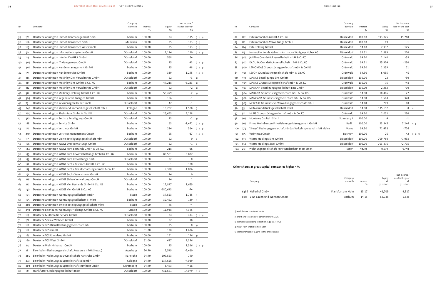| $\sim$ | ×. | L<br>w |  | 1 |
|--------|----|--------|--|---|
|        |    |        |  |   |

| Nr. |     | Company                                                      | Company<br>domicile | Interest<br>% | Equity<br>€k | Net income /<br>loss for the year<br>€k |          |
|-----|-----|--------------------------------------------------------------|---------------------|---------------|--------------|-----------------------------------------|----------|
| 35  | 178 | Deutsche Annington Immobilienmanagement GmbH                 | Bochum              | 100.00        | 24           | -315                                    | 1) 2) 3) |
| 36  | 166 | Deutsche Annington Immobilienservice GmbH                    | München             | 100.00        | 25           | 383                                     | 1) 3)    |
| 37  | 165 | Deutsche Annington Immobilienservice West GmbH               | Bochum              | 100.00        | 25           | 393                                     | 1) 3)    |
| 38  | 50  | Deutsche Annington Informationssysteme GmbH                  | Düsseldorf          | 100.00        | 2,124        | 110                                     | 1) 2) 3) |
| 39  | 119 | Deutsche Annington Interim DAMIRA GmbH                       | Düsseldorf          | 100.00        | 568          | 54                                      |          |
| 40  | 405 | Deutsche Annington IT-Management GmbH                        | Düsseldorf          | 100.00        | 25           | -43                                     | 1) 2) 3) |
| 41  | 402 | Deutsche Annington Kundenmanagement GmbH                     | Bochum              | 100.00        | 25           | -48                                     | 1) 2) 3) |
| 42  | 173 | Deutsche Annington Kundenservice GmbH                        | Bochum              | 100.00        | 339          | 1,295                                   | 1) 2) 3) |
| 43  | 314 | Deutsche Annington McKinley Drei Verwaltungs GmbH            | Düsseldorf          | 100.00        | 22           | $-3$                                    | 4)       |
| 44  | 313 | Deutsche Annington McKinley Eins GmbH & Co. KG               | Bochum              | 100.00        | 47,218       | $-6,283$                                | 4)       |
| 45  | 312 | Deutsche Annington McKinley Eins Verwaltungs GmbH            | Düsseldorf          | 100.00        | 22           | $-2$                                    | 4)       |
| 46  | 311 | Deutsche Annington McKinley-Holding GmbH & Co. KG            | Bochum              | 100.00        | 53,499       | $-2$                                    | 4)       |
| 47  | 304 | Deutsche Annington Regenerative Energien GmbH                | Bochum              | 100.00        | 186          | $-1$                                    |          |
| 48  | 75  | Deutsche Annington Revisionsgesellschaft mbH                 | Düsseldorf          | 100.00        | 47           | $-1$                                    |          |
| 49  | 248 | Deutsche Annington Rheinland Immobiliengesellschaft mbH      | Cologne             | 100.00        | 13,762       | 1,568                                   | 1)       |
| 50  | 235 | Deutsche Annington Rhein-Ruhr GmbH & Co. KG                  | Düsseldorf          | 100.00        | 25,653       | 9,218                                   |          |
| 51  | 310 | Deutsche Annington Sechste Beteiligungs GmbH                 | Düsseldorf          | 100.00        | 23           | $-2$                                    | 4)       |
| 52  | 188 | Deutsche Annington Service GmbH                              | Bochum              | 100.00        | 63           | $-1,472$                                | 1) 2) 3) |
| 53  | 172 | Deutsche Annington Vertriebs GmbH                            | Bochum              | 100.00        | 284          | 564                                     | 1) 2) 3) |
| 54  | 403 | Deutsche Annington Vertriebsmanagement GmbH                  | Bochum              | 100.00        | 25           | -37                                     | 1) 2) 3) |
| 55  | 117 | Deutsche Annington Vierte Beteiligungsgesellschaft mbH       | Düsseldorf          | 100.00        | 22           | 0                                       | 5)       |
| 56  | 106 | Deutsche Annington WOGE Drei Verwaltungs GmbH                | Düsseldorf          | 100.00        | 22           | $-1$                                    | 5)       |
| 57  | 144 | Deutsche Annington WOGE Fünf Bestands GmbH & Co. KG          | Bochum              | 100.00        | 218          | $-26$                                   |          |
| 58  | 145 | Deutsche Annington WOGE Fünf Bewirtschaftungs GmbH & Co. KG  | Bochum              | 100.00        | 88,501       | 3,827                                   |          |
| 59  | 143 | Deutsche Annington WOGE Fünf Verwaltungs GmbH                | Düsseldorf          | 100.00        | 22           | 0                                       |          |
| 60  | 152 | Deutsche Annington WOGE Sechs Bestands GmbH & Co. KG         | Bochum              | 100.00        | 1            | 100                                     |          |
| 61  | 153 | Deutsche Annington WOGE Sechs Bewirtschaftungs GmbH & Co. KG | Bochum              | 100.00        | 9,320        | 1,066                                   |          |
| 62  | 151 | Deutsche Annington WOGE Sechs Verwaltungs GmbH               | Bochum              | 100.00        | 24           | 0                                       |          |
| 63  | 216 | Deutsche Annington WOGE Sieben Verwaltungs GmbH              | Düsseldorf          | 100.00        | 24           | $\mathbf{1}$                            |          |
| 64  | 212 | Deutsche Annington WOGE Vier Bestands GmbH & Co. KG          | Bochum              | 100.00        | 12,847       | 1,659                                   |          |
| 65  | 130 | Deutsche Annington WOGE Vier GmbH & Co. KG                   | Bochum              | 100.00        | $-180,643$   | -74                                     |          |
| 66  | 103 | Deutsche Annington Wohnungsgesellschaft I mbH                | Essen               | 100.00        | 37,553       | 1,785                                   | 1)       |
| 67  | 105 | Deutsche Annington Wohnungsgesellschaft III mbH              | Bochum              | 100.00        | 32,422       | 189                                     | 1)       |
| 68  | 202 | Deutsche Annington Zweite Beteiligungsgesellschaft mbH       | Essen               | 100.00        | 45           | $-4$                                    |          |
| 69  | 250 | Deutsche Eisenbahn-Wohnungs-Holdings GmbH & Co. KG           | Leipzig             | 100.00        | 11,938       | 7,395                                   |          |
| 70  | 167 | Deutsche Multimedia Service GmbH                             | Düsseldorf          | 100.00        | 24           | 414                                     | 1) 2) 3) |
| 71  | 177 | Deutsche Soziale Wohnen GmbH                                 | Bochum              | 100.00        | 77           | 18                                      |          |
| 72  | 162 | Deutsche TGS Dienstleistungsgesellschaft mbH                 | Bochum              | 100.00        | 25           | 0                                       | 4)       |
| 73  | 161 | Deutsche TGS GmbH                                            | Bochum              | 51.00         | 128          | 1,626                                   |          |
| 74  | 163 | Deutsche TGS Rheinland GmbH                                  | Bochum              | 100.00        | 151          | 126                                     | 4)       |
| 75  | 160 | Deutsche TGS West GmbH                                       | Düsseldorf          | 51.00         | 637          | 2,396                                   |          |
| 76  | 24  | Deutsche Wohn-Inkasso GmbH                                   | Bochum              | 100.00        | 25           | 1,516                                   | 1) 2) 3) |
| 77  | 281 | Eisenbahn-Siedlungsgesellschaft Augsburg mbH (Siegau)        | Augsburg            | 94.90         | 2,549        | $-9,460$                                |          |
| 78  | 265 | Eisenbahn-Wohnungsbau-Gesellschaft Karlsruhe GmbH            | Karlsruhe           | 94.90         | 109,523      | 790                                     |          |
| 79  | 241 | Eisenbahn-Wohnungsbaugesellschaft Köln mbH                   | Cologne             | 94.90         | 137,655      | $-4,039$                                |          |
| 80  | 289 | Eisenbahn-Wohnungsbaugesellschaft Nürnberg GmbH              | Nuremberg           | 94.90         | 8,493        | -428                                    |          |
| 81  | 123 | Frankfurter Siedlungsgesellschaft mbH                        | Düsseldorf          | 100.00        | 431,691      | 14,079                                  | 1) 2)    |
|     |     |                                                              |                     |               |              |                                         |          |

| Nr. |     | Company                                                          | Company<br>domicile | Interest<br>% | Equity<br>€k | Net income /<br>loss for the year<br>€k |          |
|-----|-----|------------------------------------------------------------------|---------------------|---------------|--------------|-----------------------------------------|----------|
| 82  | 122 | FSG Immobilien GmbH & Co. KG                                     | Düsseldorf          | 100.00        | 193,025      | 15,760                                  |          |
| 83  | 121 | FSG Immobilien Verwaltungs GmbH                                  | Düsseldorf          | 100.00        | 19           | $-1$                                    |          |
| 84  | 124 | FSG-Holding GmbH                                                 | Düsseldorf          | 94.80         | 7,937        | 125                                     |          |
| 85  | 115 | Immobilienfonds Koblenz-Karthause Wolfgang Hober KG              | Düsseldorf          | 92.71         | 2,589        | 220                                     |          |
| 86  | 903 | JANANA Grundstücksgesellschaft mbH & Co.KG                       | Grünwald            | 94.90         | 2,140        | $-58$                                   |          |
| 87  | 902 | KADURA Grundstücksgesellschaft mbH & Co.KG                       | Grünwald            | 94.91         | 25,924       | $-230$                                  |          |
| 88  | 900 | LEMONDAS Grundstücksgesellschaft mbH & Co.KG                     | Grünwald            | 94.90         | 1,359        | 21                                      |          |
| 89  | 901 | LEVON Grundstücksgesellschaft mbH & Co.KG                        | Grünwald            | 94.90         | 6,055        | 46                                      |          |
| 90  | 910 | MAKAB Beteiligungs Eins GmbH                                     | Düsseldorf          | 100.00        | 22           | $-30$                                   |          |
| 91  | 909 | MAKAB Grundstücksgesellschaft mbH & Co. KG                       | Grünwald            | 100.00        | 75           | $-48$                                   |          |
| 92  | 907 | MAKANA Beteiligungsgesellschaft Eins GmbH                        | Düsseldorf          | 100.00        | 2,282        | $-10$                                   |          |
| 93  | 904 | MAKANA Grundstücksgesellschaft mbH & Co. KG                      | Grünwald            | 94.90         | 10,416       | 27                                      |          |
| 94  | 906 | MANGANA Grundstücksgesellschaft mbH & Co. KG                     | Grünwald            | 94.90         | 1,544        | 328                                     |          |
| 95  | 905 | MELCART Grundstücks-Verwaltungsgesellschaft mbH                  | Grünwald            | 94.80         | 789          | 40                                      |          |
| 96  | 93  | MIRA Grundstücksgesellschaft mbH                                 | Düsseldorf          | 94.90         | 135,152      | -8                                      | 1)       |
| 97  | 911 | MIRIS Grundstücksgesellschaft mbH & Co. KG                       | Grünwald            | 94.90         | 2,001        | 290                                     |          |
| 98  | 303 | Monterey Capital I S.à r.l.                                      | Strassen / L        | 100.00        | 4            | $-1$                                    |          |
| 99  | 307 | Prima Wohnbauten Privatisierungs-Management GmbH                 | Berlin              | 100.00        | 23,845       | 7,246                                   | 1) 3)    |
| 100 | 273 | "Siege" Siedlungsgesellschaft für das Verkehrspersonal mbH Mainz | Mainz               | 94.90         | 71,478       | $-726$                                  |          |
| 101 | 175 | Verimmo2 GmbH                                                    | Bochum              | 100.00        | 26           | 42                                      | 1) 2) 3) |
| 102 | 193 | Viterra Holdings Eins GmbH                                       | Düsseldorf          | 100.00        | 709,760      | $-1,093$                                |          |
| 103 | 194 | Viterra Holdings Zwei GmbH                                       | Düsseldorf          | 100.00        | 703,376      | $-2,715$                                |          |
| 104 | 231 | Wohnungsgesellschaft Ruhr-Niederrhein mbH Essen                  | Essen               | 94.90         | 31,079       | $-2,559$                                |          |

|      | Company                   | Company<br>domicile | Interest<br>% | Equity<br>€k<br>31.12.2012 | Net income /<br>loss for the year<br>€k<br>31.12.2012 |  |
|------|---------------------------|---------------------|---------------|----------------------------|-------------------------------------------------------|--|
|      | 6486 Hellerhof GmbH       | Frankfurt am Main   | 13.17         | 46.709                     | 4.317                                                 |  |
| 8011 | VBW Bauen und Wohnen GmbH | <b>Bochum</b>       | 14.15         | 82.735                     | 5,626                                                 |  |
|      |                           |                     |               |                            |                                                       |  |

1) result before transfer of result

2) profit-and-loss transfer agreement with DAIG

3) exemption according to section 264 para. 3 HGB

4) result from short business year

5) shares increase of 0.40% to the previous year

### Other shares at great capital companies higher 5%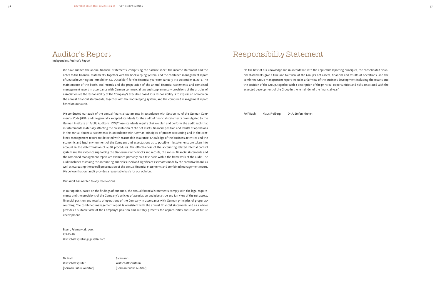## Responsibility Statement

"To the best of our knowledge and in accordance with the applicable reporting principles, the consolidated financial statements give a true and fair view of the Group's net assets, financial and results of operations, and the combined Group management report includes a fair view of the business development including the results and the position of the Group, together with a description of the principal opportunities and risks associated with the expected development of the Group in the remainder of the financial year."

Rolf Buch Klaus Freiberg Dr A. Stefan Kirsten

## Auditor's Report

Independent Auditor's Report

We have audited the annual financial statements, comprising the balance sheet, the income statement and the notes to the financial statements, together with the bookkeeping system, and the combined management report of Deutsche Annington Immobilien SE, Düsseldorf, for the financial year from January 1 to December 31, 2013. The maintenance of the books and records and the preparation of the annual financial statements and combined management report in accordance with German commercial law and supplementary provisions of the articles of association are the responsibility of the Company's executive board. Our responsibility is to express an opinion on the annual financial statements, together with the bookkeeping system, and the combined management report based on our audit.

Dr. Hain Salzmann Wirtschaftsprüfer Wirtschaftsprüferin [German Public Auditor] [German Public Auditor]

We conducted our audit of the annual financial statements in accordance with Section 317 of the German Commercial Code [HGB] and the generally accepted standards for the audit of financial statements promulgated by the German Institute of Public Auditors [IDW].Those standards require that we plan and perform the audit such that misstatements materially affecting the presentation of the net assets, financial position and results of operations in the annual financial statements in accordance with German principles of proper accounting and in the combined management report are detected with reasonable assurance. Knowledge of the business activities and the economic and legal environment of the Company and expectations as to possible misstatements are taken into account in the determination of audit procedures. The effectiveness of the accounting-related internal control system and the evidence supporting the disclosures in the books and records, the annual financial statements and the combined management report are examined primarily on a test basis within the framework of the audit. The audit includes assessing the accounting principles used and significant estimates made by the executive board, as well as evaluating the overall presentation of the annual financial statements and combined management report. We believe that our audit provides a reasonable basis for our opinion.

Our audit has not led to any reservations.

In our opinion, based on the findings of our audit, the annual financial statements comply with the legal requirements and the provisions of the Company's articles of association and give a true and fair view of the net assets, financial position and results of operations of the Company in accordance with German principles of proper accounting. The combined management report is consistent with the annual financial statements and as a whole provides a suitable view of the Company's position and suitably presents the opportunities and risks of future development.

Essen, February 28, 2014 KPMG AG Wirtschaftsprüfungsgesellschaft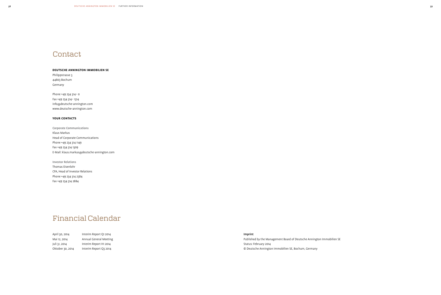# **Contact**

### **Deutsche Annington Immobilien SE**

Philippstrasse 3 44803 Bochum Germany

Phone +49 234 314– 0 Fax +49 234 314– 1314 info@deutsche-annington.com www.deutsche-annington.com

### **your contacts**

Corporate Communications Klaus Markus Head of Corporate Communications Phone +49 234 314 1149 Fax +49 234 314 1309 E-Mail: klaus.markus@deutsche-annington.com

Investor Relations Thomas Eisenlohr CFA, Head of Investor Relations Phone +49 234 314 2384 Fax +49 234 314 2884

| April 30, 2014   | Interim Report Q1 2014 |
|------------------|------------------------|
| Mai 12, 2014     | Annual General Meeting |
| Juli 31, 2014    | Interim Report H1 2014 |
| Oktober 30, 2014 | Interim Report Q3 2014 |

### Imprint

Published by the Management Board of Deutsche Annington Immobilien SE Status: February 2014 © Deutsche Annington Immobilien SE, Bochum, Germany

## Financial Calendar